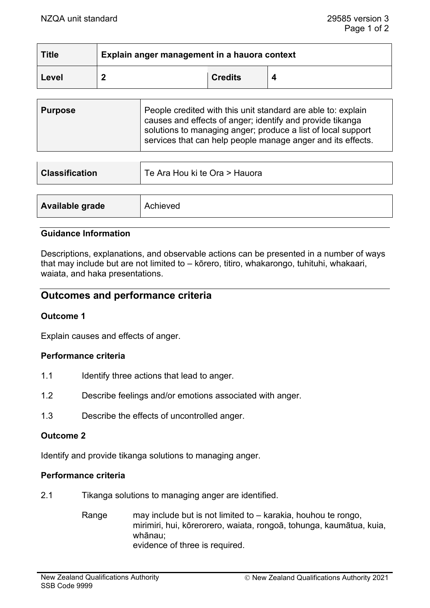| <b>Title</b> | Explain anger management in a hauora context |                |  |
|--------------|----------------------------------------------|----------------|--|
| Level        |                                              | <b>Credits</b> |  |

| <b>Purpose</b> | People credited with this unit standard are able to: explain<br>causes and effects of anger; identify and provide tikanga<br>solutions to managing anger; produce a list of local support |  |
|----------------|-------------------------------------------------------------------------------------------------------------------------------------------------------------------------------------------|--|
|                | services that can help people manage anger and its effects.                                                                                                                               |  |

| <b>Classification</b> | Te Ara Hou ki te Ora > Hauora |
|-----------------------|-------------------------------|
|                       |                               |
| Available grade       | Achieved                      |

### **Guidance Information**

Descriptions, explanations, and observable actions can be presented in a number of ways that may include but are not limited to – kōrero, titiro, whakarongo, tuhituhi, whakaari, waiata, and haka presentations.

## **Outcomes and performance criteria**

### **Outcome 1**

Explain causes and effects of anger.

#### **Performance criteria**

- 1.1 Identify three actions that lead to anger.
- 1.2 Describe feelings and/or emotions associated with anger.
- 1.3 Describe the effects of uncontrolled anger.

#### **Outcome 2**

Identify and provide tikanga solutions to managing anger.

### **Performance criteria**

- 2.1 Tikanga solutions to managing anger are identified.
	- Range may include but is not limited to karakia, houhou te rongo, mirimiri, hui, kōrerorero, waiata, rongoā, tohunga, kaumātua, kuia, whānau; evidence of three is required.